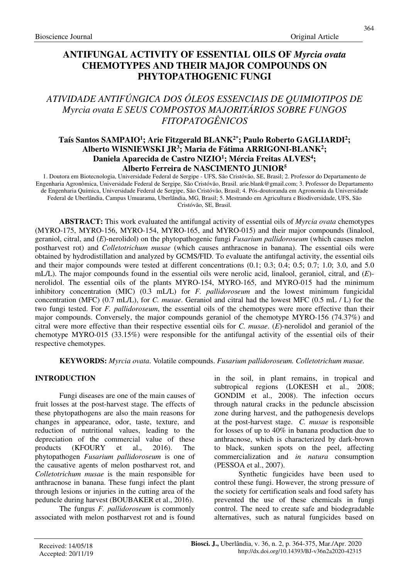# **ANTIFUNGAL ACTIVITY OF ESSENTIAL OILS OF** *Myrcia ovata* **CHEMOTYPES AND THEIR MAJOR COMPOUNDS ON PHYTOPATHOGENIC FUNGI**

# *ATIVIDADE ANTIFÚNGICA DOS ÓLEOS ESSENCIAIS DE QUIMIOTIPOS DE Myrcia ovata E SEUS COMPOSTOS MAJORITÁRIOS SOBRE FUNGOS FITOPATOGÊNICOS*

# **Taís Santos SAMPAIO<sup>1</sup> ; Arie Fitzgerald BLANK2\*; Paulo Roberto GAGLIARDI<sup>2</sup> ; Alberto WISNIEWSKI JR<sup>3</sup> ; Maria de Fátima ARRIGONI-BLANK<sup>2</sup> ; Daniela Aparecida de Castro NIZIO<sup>1</sup> ; Mércia Freitas ALVES<sup>4</sup> ; Alberto Ferreira de NASCIMENTO JUNIOR<sup>5</sup>**

1. Doutora em Biotecnologia, Universidade Federal de Sergipe - UFS, São Cristóvão, SE, Brasil; 2. Professor do Departamento de Engenharia Agronômica, Universidade Federal de Sergipe, São Cristóvão, Brasil. arie.blank@gmail.com; 3. Professor do Departamento de Engenharia Química, Universidade Federal de Sergipe, São Cristóvão, Brasil; 4. Pós-doutoranda em Agronomia da Universidade Federal de Uberlândia, Campus Umuarama, Uberlândia, MG, Brasil; 5. Mestrando em Agricultura e Biodiversidade, UFS, São Cristóvão, SE, Brasil.

**ABSTRACT:** This work evaluated the antifungal activity of essential oils of *Myrcia ovata* chemotypes (MYRO-175, MYRO-156, MYRO-154, MYRO-165, and MYRO-015) and their major compounds (linalool, geraniol, citral, and (*E*)-nerolidol) on the phytopathogenic fungi *Fusarium pallidoroseum* (which causes melon postharvest rot) and *Colletotrichum musae* (which causes anthracnose in banana). The essential oils were obtained by hydrodistillation and analyzed by GCMS/FID. To evaluate the antifungal activity, the essential oils and their major compounds were tested at different concentrations (0.1; 0.3; 0.4; 0.5; 0.7; 1.0; 3.0, and 5.0 mL/L). The major compounds found in the essential oils were nerolic acid, linalool, geraniol, citral, and (*E*) nerolidol. The essential oils of the plants MYRO-154, MYRO-165, and MYRO-015 had the minimum inhibitory concentration (MIC) (0.3 mL/L) for *F. pallidoroseum* and the lowest minimum fungicidal concentration (MFC) (0.7 mL/L), for *C. musae*. Geraniol and citral had the lowest MFC (0.5 mL / L) for the two fungi tested. For *F. pallidoroseum*, the essential oils of the chemotypes were more effective than their major compounds. Conversely, the major compounds geraniol of the chemotype MYRO-156 (74.37%) and citral were more effective than their respective essential oils for *C. musae*. (*E*)-nerolidol and geraniol of the chemotype MYRO-015 (33.15%) were responsible for the antifungal activity of the essential oils of their respective chemotypes.

**KEYWORDS:** *Myrcia ovata*. Volatile compounds. *Fusarium pallidoroseum. Colletotrichum musae.* 

# **INTRODUCTION**

Fungi diseases are one of the main causes of fruit losses at the post-harvest stage. The effects of these phytopathogens are also the main reasons for changes in appearance, odor, taste, texture, and reduction of nutritional values, leading to the depreciation of the commercial value of these products (KFOURY et al., 2016). The phytopathogen *Fusarium pallidoroseum* is one of the causative agents of melon postharvest rot, and *Colletotrichum musae* is the main responsible for anthracnose in banana. These fungi infect the plant through lesions or injuries in the cutting area of the peduncle during harvest (BOUBAKER et al., 2016).

The fungus *F. pallidoroseum* is commonly associated with melon postharvest rot and is found in the soil, in plant remains, in tropical and subtropical regions (LOKESH et al., 2008; GONDIM et al., 2008). The infection occurs through natural cracks in the peduncle abscission zone during harvest, and the pathogenesis develops at the post-harvest stage. *C. musae* is responsible for losses of up to 40% in banana production due to anthracnose, which is characterized by dark-brown to black, sunken spots on the peel, affecting commercialization and *in natura* consumption (PESSOA et al., 2007).

Synthetic fungicides have been used to control these fungi. However, the strong pressure of the society for certification seals and food safety has prevented the use of these chemicals in fungi control. The need to create safe and biodegradable alternatives, such as natural fungicides based on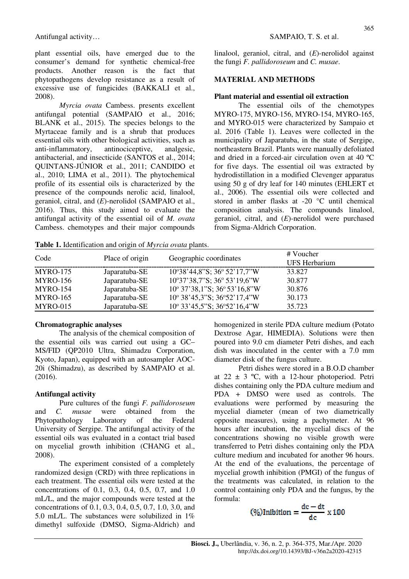plant essential oils, have emerged due to the consumer's demand for synthetic chemical-free products. Another reason is the fact that phytopathogens develop resistance as a result of excessive use of fungicides (BAKKALI et al., 2008).

*Myrcia ovata* Cambess. presents excellent antifungal potential (SAMPAIO et al., 2016; BLANK et al., 2015). The species belongs to the Myrtaceae family and is a shrub that produces essential oils with other biological activities, such as anti-inflammatory, antinociceptive, analgesic, antibacterial, and insecticide (SANTOS et al., 2014; QUINTANS-JÚNIOR et al., 2011; CANDIDO et al., 2010; LIMA et al., 2011). The phytochemical profile of its essential oils is characterized by the presence of the compounds nerolic acid, linalool, geraniol, citral, and (*E*)-nerolidol (SAMPAIO et al., 2016). Thus, this study aimed to evaluate the antifungal activity of the essential oil of *M. ovata* Cambess. chemotypes and their major compounds

**Table 1.** Identification and origin of *Myrcia ovata* plants.

#### Antifungal activity… SAMPAIO, T. S. et al.

linalool, geraniol, citral, and (*E*)-nerolidol against the fungi *F. pallidoroseum* and *C. musae*.

### **MATERIAL AND METHODS**

#### **Plant material and essential oil extraction**

The essential oils of the chemotypes MYRO-175, MYRO-156, MYRO-154, MYRO-165, and MYRO-015 were characterized by Sampaio et al. 2016 (Table 1). Leaves were collected in the municipality of Japaratuba, in the state of Sergipe, northeastern Brazil. Plants were manually defoliated and dried in a forced-air circulation oven at 40 ºC for five days. The essential oil was extracted by hydrodistillation in a modified Clevenger apparatus using 50 g of dry leaf for 140 minutes (EHLERT et al., 2006). The essential oils were collected and stored in amber flasks at -20 °C until chemical composition analysis. The compounds linalool, geraniol, citral, and (*E*)-nerolidol were purchased from Sigma-Aldrich Corporation.

| Code            | Place of origin | Geographic coordinates                          | # Voucher<br>UFS Herbarium |
|-----------------|-----------------|-------------------------------------------------|----------------------------|
| <b>MYRO-175</b> | Japaratuba-SE   | $10^{\circ}38'44.8''S$ ; $36^{\circ}52'17.7''W$ | 33.827                     |
| <b>MYRO-156</b> | Japaratuba-SE   | $10^{\circ}37'38.7''S$ ; $36^{\circ}53'19.6''W$ | 30.877                     |
| <b>MYRO-154</b> | Japaratuba-SE   | $10^{\circ}$ 37'38,1"S; 36 $^{\circ}$ 53'16,8"W | 30.876                     |
| <b>MYRO-165</b> | Japaratuba-SE   | $10^{\circ}$ 38'45,3"S; 36°52'17,4"W            | 30.173                     |
| MYRO-015        | Japaratuba-SE   | $10^{\circ}$ 33'45,5"S; 36°52'16,4"W            | 35.723                     |

### **Chromatographic analyses**

The analysis of the chemical composition of the essential oils was carried out using a GC– MS/FID (QP2010 Ultra, Shimadzu Corporation, Kyoto, Japan), equipped with an autosampler AOC-20i (Shimadzu), as described by SAMPAIO et al. (2016).

### **Antifungal activity**

Pure cultures of the fungi *F. pallidoroseum*  and *C. musae* were obtained from the Phytopathology Laboratory of the Federal University of Sergipe. The antifungal activity of the essential oils was evaluated in a contact trial based on mycelial growth inhibition (CHANG et al., 2008).

The experiment consisted of a completely randomized design (CRD) with three replications in each treatment. The essential oils were tested at the concentrations of 0.1, 0.3, 0.4, 0.5, 0.7, and 1.0 mL/L, and the major compounds were tested at the concentrations of 0.1, 0.3, 0.4, 0.5, 0.7, 1.0, 3.0, and 5.0 mL/L. The substances were solubilized in 1% dimethyl sulfoxide (DMSO, Sigma-Aldrich) and homogenized in sterile PDA culture medium (Potato Dextrose Agar, HIMEDIA). Solutions were then poured into 9.0 cm diameter Petri dishes, and each dish was inoculated in the center with a 7.0 mm diameter disk of the fungus culture.

Petri dishes were stored in a B.O.D chamber at  $22 \pm 3$  °C, with a 12-hour photoperiod. Petri dishes containing only the PDA culture medium and PDA + DMSO were used as controls. The evaluations were performed by measuring the mycelial diameter (mean of two diametrically opposite measures), using a pachymeter. At 96 hours after incubation, the mycelial discs of the concentrations showing no visible growth were transferred to Petri dishes containing only the PDA culture medium and incubated for another 96 hours. At the end of the evaluations, the percentage of mycelial growth inhibition (PMGI) of the fungus of the treatments was calculated, in relation to the control containing only PDA and the fungus, by the formula:

$$
(\%) Inibition = \frac{dc - dt}{dc} \times 100
$$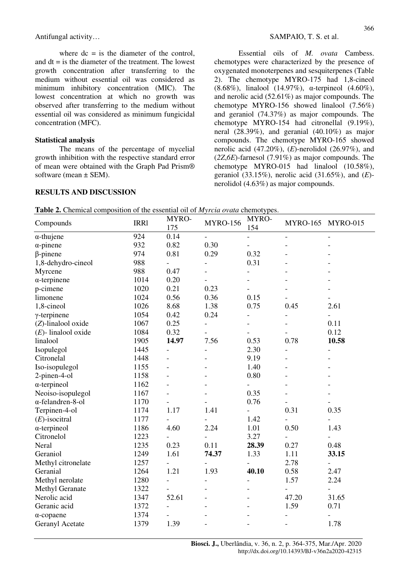where  $dc =$  is the diameter of the control, and  $dt = i$  is the diameter of the treatment. The lowest growth concentration after transferring to the medium without essential oil was considered as minimum inhibitory concentration (MIC). The lowest concentration at which no growth was observed after transferring to the medium without essential oil was considered as minimum fungicidal concentration (MFC).

#### **Statistical analysis**

The means of the percentage of mycelial growth inhibition with the respective standard error of mean were obtained with the Graph Pad Prism® software (mean  $\pm$  SEM).

## **RESULTS AND DISCUSSION**

Essential oils of *M. ovata* Cambess. chemotypes were characterized by the presence of oxygenated monoterpenes and sesquiterpenes (Table 2). The chemotype MYRO-175 had 1,8-cineol (8.68%), linalool (14.97%), α-terpineol (4.60%), and nerolic acid (52.61%) as major compounds. The chemotype MYRO-156 showed linalool (7.56%) and geraniol (74.37%) as major compounds. The chemotype MYRO-154 had citronellal (9.19%), neral (28.39%), and geranial (40.10%) as major compounds. The chemotype MYRO-165 showed nerolic acid (47.20%), (*E*)-nerolidol (26.97%), and (*2Z*,*6E*)-farnesol (7.91%) as major compounds. The chemotype MYRO-015 had linalool (10.58%), geraniol (33.15%), nerolic acid (31.65%), and (*E*) nerolidol (4.63%) as major compounds.

| <b>Table 2.</b> Chemical composition of the essential oil of <i>Myrcia ovata</i> chemotypes. |      |              |                     |  |
|----------------------------------------------------------------------------------------------|------|--------------|---------------------|--|
| C <sub>ammon</sub>                                                                           | TDD1 | <b>MYRO-</b> | MYRO-<br>$MVDO$ 156 |  |

| Compounds              | <b>IRR1</b> | MYRO-<br>175             | <b>MYRO-156</b>          | MYRO-<br>154             | MYRO-165 MYRO-015        |                          |
|------------------------|-------------|--------------------------|--------------------------|--------------------------|--------------------------|--------------------------|
| $\alpha$ -thujene      | 924         | 0.14                     | $\overline{\phantom{0}}$ |                          |                          |                          |
| $\alpha$ -pinene       | 932         | 0.82                     | 0.30                     | $\overline{\phantom{a}}$ |                          |                          |
| $\beta$ -pinene        | 974         | 0.81                     | 0.29                     | 0.32                     |                          |                          |
| 1,8-dehydro-cineol     | 988         |                          |                          | 0.31                     |                          |                          |
| Myrcene                | 988         | 0.47                     |                          | $\frac{1}{2}$            |                          |                          |
| $\alpha$ -terpinene    | 1014        | 0.20                     |                          |                          |                          |                          |
| p-cimene               | 1020        | 0.21                     | 0.23                     |                          |                          |                          |
| limonene               | 1024        | 0.56                     | 0.36                     | 0.15                     |                          | $\overline{\phantom{0}}$ |
| 1,8-cineol             | 1026        | 8.68                     | 1.38                     | 0.75                     | 0.45                     | 2.61                     |
| $\gamma$ -terpinene    | 1054        | 0.42                     | 0.24                     | $\blacksquare$           | $\overline{\phantom{0}}$ | $\overline{a}$           |
| (Z)-linalool oxide     | 1067        | 0.25                     | $\overline{a}$           | $\blacksquare$           |                          | 0.11                     |
| $(E)$ - linalool oxide | 1084        | 0.32                     | $\overline{a}$           |                          |                          | 0.12                     |
| linalool               | 1905        | 14.97                    | 7.56                     | 0.53                     | 0.78                     | 10.58                    |
| Isopulegol             | 1445        | $\overline{\phantom{a}}$ |                          | 2.30                     | $\overline{a}$           | $\blacksquare$           |
| Citronelal             | 1448        | $\overline{\phantom{a}}$ |                          | 9.19                     |                          | $\overline{\phantom{0}}$ |
| Iso-isopulegol         | 1155        | $\overline{a}$           |                          | 1.40                     |                          |                          |
| 2-pinen-4-ol           | 1158        |                          |                          | $0.80\,$                 |                          |                          |
| $\alpha$ -terpineol    | 1162        |                          |                          | $\overline{\phantom{a}}$ |                          |                          |
| Neoiso-isopulegol      | 1167        |                          |                          | 0.35                     |                          | $\overline{a}$           |
| α-felandren-8-ol       | 1170        |                          |                          | 0.76                     |                          |                          |
| Terpinen-4-ol          | 1174        | 1.17                     | 1.41                     | $\overline{\phantom{a}}$ | 0.31                     | 0.35                     |
| $(E)$ -isocitral       | 1177        | $\overline{\phantom{0}}$ | $\overline{a}$           | 1.42                     |                          | $\overline{\phantom{0}}$ |
| $\alpha$ -terpineol    | 1186        | 4.60                     | 2.24                     | 1.01                     | 0.50                     | 1.43                     |
| Citronelol             | 1223        | $\blacksquare$           | $\overline{a}$           | 3.27                     | $\overline{\phantom{0}}$ | $\overline{a}$           |
| Neral                  | 1235        | 0.23                     | 0.11                     | 28.39                    | 0.27                     | 0.48                     |
| Geraniol               | 1249        | 1.61                     | 74.37                    | 1.33                     | 1.11                     | 33.15                    |
| Methyl citronelate     | 1257        |                          |                          |                          | 2.78                     | $\overline{\phantom{0}}$ |
| Geranial               | 1264        | 1.21                     | 1.93                     | 40.10                    | 0.58                     | 2.47                     |
| Methyl nerolate        | 1280        | $\overline{\phantom{0}}$ |                          |                          | 1.57                     | 2.24                     |
| Methyl Geranate        | 1322        |                          |                          |                          |                          | $\overline{\phantom{0}}$ |
| Nerolic acid           | 1347        | 52.61                    |                          |                          | 47.20                    | 31.65                    |
| Geranic acid           | 1372        | $\overline{\phantom{a}}$ |                          |                          | 1.59                     | 0.71                     |
| $\alpha$ -copaene      | 1374        |                          |                          |                          |                          |                          |
| Geranyl Acetate        | 1379        | 1.39                     |                          |                          |                          | 1.78                     |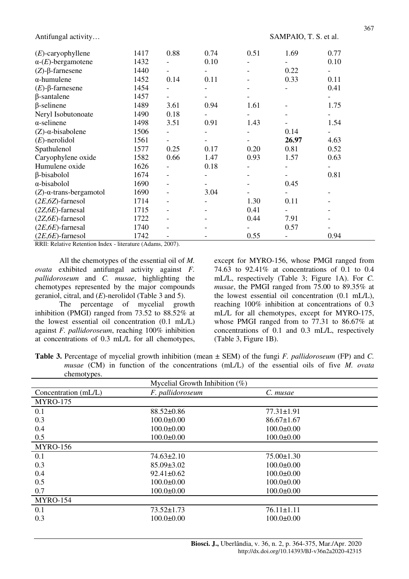Antifungal activity... Sample 3. SAMPAIO, T. S. et al.

| 1440 | $\overline{\phantom{a}}$ |      |              | 0.22  | ۰                        |              |
|------|--------------------------|------|--------------|-------|--------------------------|--------------|
| 1452 | 0.14                     | 0.11 |              | 0.33  | 0.11                     |              |
| 1454 | $\overline{\phantom{a}}$ |      |              |       | 0.41                     |              |
| 1457 |                          |      |              |       |                          |              |
| 1489 | 3.61                     | 0.94 | 1.61         |       | 1.75                     |              |
| 1490 | 0.18                     |      |              |       |                          |              |
| 1498 | 3.51                     | 0.91 | 1.43         |       | 1.54                     |              |
| 1506 |                          |      |              | 0.14  | ۰                        |              |
| 1561 | $\overline{\phantom{a}}$ |      |              | 26.97 | 4.63                     |              |
| 1577 | 0.25                     | 0.17 | 0.20         | 0.81  | 0.52                     |              |
| 1582 | 0.66                     | 1.47 | 0.93         | 1.57  | 0.63                     |              |
| 1626 | $\overline{\phantom{a}}$ | 0.18 |              |       | $\overline{\phantom{a}}$ |              |
| 1674 | $\qquad \qquad -$        |      |              |       | 0.81                     |              |
| 1690 |                          |      |              | 0.45  |                          |              |
| 1690 | $\overline{\phantom{a}}$ | 3.04 |              |       |                          |              |
| 1714 | $\overline{\phantom{a}}$ |      | 1.30         | 0.11  |                          |              |
| 1715 | $\overline{\phantom{a}}$ |      | 0.41         |       |                          |              |
| 1722 | $\overline{\phantom{a}}$ |      | 0.44         | 7.91  |                          |              |
| 1740 | $\overline{\phantom{a}}$ |      |              | 0.57  |                          |              |
| 1742 | $\overline{\phantom{a}}$ |      | 0.55         |       | 0.94                     |              |
|      | 1417<br>1432             | 0.88 | 0.74<br>0.10 | 0.51  | 1.69                     | 0.77<br>0.10 |

RRIl: Relative Retention Index - literature (Adams, 2007).

All the chemotypes of the essential oil of *M. ovata* exhibited antifungal activity against *F. pallidoroseum* and *C. musae*, highlighting the chemotypes represented by the major compounds geraniol, citral, and (*E*)-nerolidol (Table 3 and 5).

The percentage of mycelial growth inhibition (PMGI) ranged from 73.52 to 88.52% at the lowest essential oil concentration (0.1 mL/L) against *F. pallidoroseum*, reaching 100% inhibition at concentrations of 0.3 mL/L for all chemotypes, except for MYRO-156, whose PMGI ranged from 74.63 to 92.41% at concentrations of 0.1 to 0.4 mL/L, respectively (Table 3; Figure 1A). For *C. musae*, the PMGI ranged from 75.00 to 89.35% at the lowest essential oil concentration (0.1 mL/L), reaching 100% inhibition at concentrations of 0.3 mL/L for all chemotypes, except for MYRO-175, whose PMGI ranged from to 77.31 to 86.67% at concentrations of 0.1 and 0.3 mL/L, respectively (Table 3, Figure 1B).

**Table 3.** Percentage of mycelial growth inhibition (mean ± SEM) of the fungi *F. pallidoroseum* (FP) and *C. musae* (CM) in function of the concentrations (mL/L) of the essential oils of five *M. ovata* chemotypes.

|                      | Mycelial Growth Inhibition $(\%)$ |                  |
|----------------------|-----------------------------------|------------------|
| Concentration (mL/L) | F. pallidoroseum                  | C. musae         |
| <b>MYRO-175</b>      |                                   |                  |
| 0.1                  | $88.52 \pm 0.86$                  | $77.31 \pm 1.91$ |
| 0.3                  | $100.0 \pm 0.00$                  | $86.67 \pm 1.67$ |
| 0.4                  | $100.0 \pm 0.00$                  | $100.0 \pm 0.00$ |
| 0.5                  | $100.0 \pm 0.00$                  | $100.0 \pm 0.00$ |
| <b>MYRO-156</b>      |                                   |                  |
| 0.1                  | $74.63 \pm 2.10$                  | $75.00 \pm 1.30$ |
| 0.3                  | $85.09 \pm 3.02$                  | $100.0 \pm 0.00$ |
| 0.4                  | $92.41 \pm 0.62$                  | $100.0 \pm 0.00$ |
| 0.5                  | $100.0 \pm 0.00$                  | $100.0 \pm 0.00$ |
| 0.7                  | $100.0 \pm 0.00$                  | $100.0 \pm 0.00$ |
| <b>MYRO-154</b>      |                                   |                  |
| 0.1                  | $73.52 \pm 1.73$                  | $76.11 \pm 1.11$ |
| 0.3                  | $100.0 \pm 0.00$                  | $100.0 \pm 0.00$ |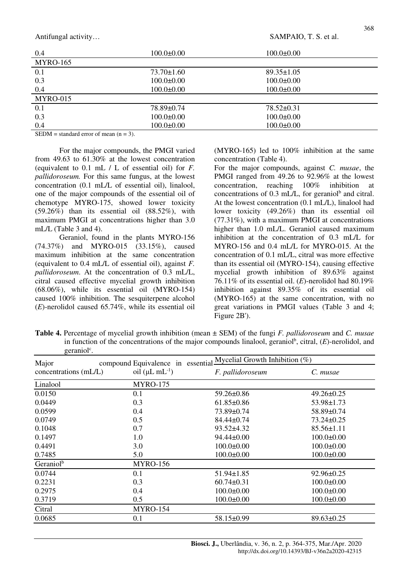Antifungal activity... Sample 3. SAMPAIO, T. S. et al.

| 0.4                                        | $100.0 \pm 0.00$ | $100.0 \pm 0.00$ |  |
|--------------------------------------------|------------------|------------------|--|
| <b>MYRO-165</b>                            |                  |                  |  |
| 0.1                                        | $73.70 \pm 1.60$ | $89.35 \pm 1.05$ |  |
| 0.3                                        | $100.0 \pm 0.00$ | $100.0 \pm 0.00$ |  |
| 0.4                                        | $100.0 \pm 0.00$ | $100.0 \pm 0.00$ |  |
| MYRO-015                                   |                  |                  |  |
| 0.1                                        | 78.89±0.74       | $78.52 \pm 0.31$ |  |
| 0.3                                        | $100.0 \pm 0.00$ | $100.0 \pm 0.00$ |  |
| 0.4                                        | $100.0 \pm 0.00$ | $100.0 \pm 0.00$ |  |
| $\alpha$ mmar<br>$\sim$ $\sim$ $\sim$<br>. | $\sim$           |                  |  |

SEDM = standard error of mean  $(n = 3)$ .

For the major compounds, the PMGI varied from 49.63 to 61.30% at the lowest concentration (equivalent to 0.1 mL / L of essential oil) for *F. pallidoroseum.* For this same fungus, at the lowest concentration (0.1 mL/L of essential oil), linalool, one of the major compounds of the essential oil of chemotype MYRO-175, showed lower toxicity  $(59.26\%)$  than its essential oil  $(88.52\%)$ , with maximum PMGI at concentrations higher than 3.0 mL/L (Table 3 and 4).

Geraniol, found in the plants MYRO-156 (74.37%) and MYRO-015 (33.15%), caused maximum inhibition at the same concentration (equivalent to 0.4 mL/L of essential oil), against *F. pallidoroseum*. At the concentration of 0.3 mL/L, citral caused effective mycelial growth inhibition (68.06%), while its essential oil (MYRO-154) caused 100% inhibition. The sesquiterpene alcohol (*E*)-nerolidol caused 65.74%, while its essential oil

(MYRO-165) led to 100% inhibition at the same concentration (Table 4).

For the major compounds, against *C. musae*, the PMGI ranged from 49.26 to 92.96% at the lowest concentration, reaching 100% inhibition at concentrations of  $0.3$  mL/L, for geraniol<sup>b</sup> and citral. At the lowest concentration (0.1 mL/L), linalool had lower toxicity (49.26%) than its essential oil (77.31%), with a maximum PMGI at concentrations higher than 1.0 mL/L. Geraniol caused maximum inhibition at the concentration of 0.3 mL/L for MYRO-156 and 0.4 mL/L for MYRO-015. At the concentration of 0.1 mL/L, citral was more effective than its essential oil (MYRO-154), causing effective mycelial growth inhibition of 89.63% against 76.11% of its essential oil. (*E*)-nerolidol had 80.19% inhibition against 89.35% of its essential oil (MYRO-165) at the same concentration, with no great variations in PMGI values (Table 3 and 4; Figure 2B').

**Table 4.** Percentage of mycelial growth inhibition (mean ± SEM) of the fungi *F. pallidoroseum* and *C. musae* in function of the concentrations of the major compounds linalool, geraniol<sup>b</sup>, citral, (E)-nerolidol, and geraniol<sup>c</sup>.

| Major                 |                            | compound Equivalence in essential Mycelial Growth $\overline{\text{Inhibition}(\%)}$ |                  |
|-----------------------|----------------------------|--------------------------------------------------------------------------------------|------------------|
| concentrations (mL/L) | oil ( $\mu L$ m $L^{-1}$ ) | F. pallidoroseum                                                                     | C. musae         |
| Linalool              | <b>MYRO-175</b>            |                                                                                      |                  |
| 0.0150                | 0.1                        | 59.26±0.86                                                                           | $49.26 \pm 0.25$ |
| 0.0449                | 0.3                        | $61.85 \pm 0.86$                                                                     | $53.98 \pm 1.73$ |
| 0.0599                | 0.4                        | 73.89±0.74                                                                           | 58.89±0.74       |
| 0.0749                | 0.5                        | $84.44 \pm 0.74$                                                                     | $73.24 \pm 0.25$ |
| 0.1048                | 0.7                        | $93.52 \pm 4.32$                                                                     | $85.56 \pm 1.11$ |
| 0.1497                | 1.0                        | $94.44 \pm 0.00$                                                                     | $100.0 \pm 0.00$ |
| 0.4491                | 3.0                        | $100.0 \pm 0.00$                                                                     | $100.0 \pm 0.00$ |
| 0.7485                | 5.0                        | $100.0 \pm 0.00$                                                                     | $100.0 \pm 0.00$ |
| Geraniol <sup>b</sup> | <b>MYRO-156</b>            |                                                                                      |                  |
| 0.0744                | 0.1                        | $51.94 \pm 1.85$                                                                     | $92.96 \pm 0.25$ |
| 0.2231                | 0.3                        | $60.74 \pm 0.31$                                                                     | $100.0 \pm 0.00$ |
| 0.2975                | 0.4                        | $100.0 \pm 0.00$                                                                     | $100.0 \pm 0.00$ |
| 0.3719                | 0.5                        | $100.0 \pm 0.00$                                                                     | $100.0 \pm 0.00$ |
| Citral                | <b>MYRO-154</b>            |                                                                                      |                  |
| 0.0685                | 0.1                        | 58.15±0.99                                                                           | $89.63 \pm 0.25$ |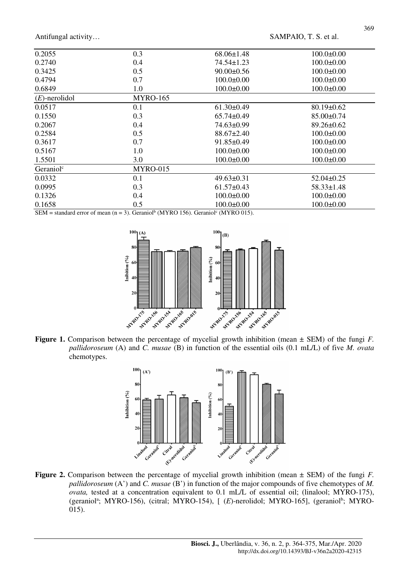Antifungal activity... SAMPAIO, T. S. et al.

| 0.2055                | 0.3             | $68.06 \pm 1.48$ | $100.0 \pm 0.00$ |
|-----------------------|-----------------|------------------|------------------|
| 0.2740                | 0.4             | $74.54 \pm 1.23$ | $100.0\pm 0.00$  |
| 0.3425                | 0.5             | $90.00 \pm 0.56$ | $100.0 \pm 0.00$ |
| 0.4794                | 0.7             | $100.0 \pm 0.00$ | $100.0 \pm 0.00$ |
| 0.6849                | 1.0             | $100.0 \pm 0.00$ | $100.0 \pm 0.00$ |
| $(E)$ -nerolidol      | <b>MYRO-165</b> |                  |                  |
| 0.0517                | 0.1             | $61.30\pm0.49$   | $80.19 \pm 0.62$ |
| 0.1550                | 0.3             | $65.74 \pm 0.49$ | $85.00 \pm 0.74$ |
| 0.2067                | 0.4             | 74.63±0.99       | $89.26 \pm 0.62$ |
| 0.2584                | 0.5             | $88.67 \pm 2.40$ | $100.0 \pm 0.00$ |
| 0.3617                | 0.7             | $91.85 \pm 0.49$ | $100.0 \pm 0.00$ |
| 0.5167                | 1.0             | $100.0 \pm 0.00$ | $100.0 \pm 0.00$ |
| 1.5501                | 3.0             | $100.0 \pm 0.00$ | $100.0 \pm 0.00$ |
| Geraniol <sup>c</sup> | MYRO-015        |                  |                  |
| 0.0332                | 0.1             | $49.63 \pm 0.31$ | $52.04 \pm 0.25$ |
| 0.0995                | 0.3             | $61.57 \pm 0.43$ | $58.33 \pm 1.48$ |
| 0.1326                | 0.4             | $100.0 \pm 0.00$ | $100.0 \pm 0.00$ |
| 0.1658                | 0.5             | $100.0 \pm 0.00$ | $100.0 \pm 0.00$ |

SEM = standard error of mean  $(n = 3)$ . Geraniol<sup>b</sup> (MYRO 156). Geraniol<sup>c</sup> (MYRO 015).



**Figure 1.** Comparison between the percentage of mycelial growth inhibition (mean ± SEM) of the fungi *F. pallidoroseum* (A) and *C. musae* (B) in function of the essential oils (0.1 mL/L) of five *M. ovata* chemotypes.



**Figure 2.** Comparison between the percentage of mycelial growth inhibition (mean ± SEM) of the fungi *F. pallidoroseum* (A') and *C. musae* (B') in function of the major compounds of five chemotypes of *M. ovata,* tested at a concentration equivalent to 0.1 mL/L of essential oil; (linalool; MYRO-175), (geraniol<sup>a</sup>; MYRO-156), (citral; MYRO-154), [ (E)-nerolidol; MYRO-165], (geraniol<sup>b</sup>; MYRO-015).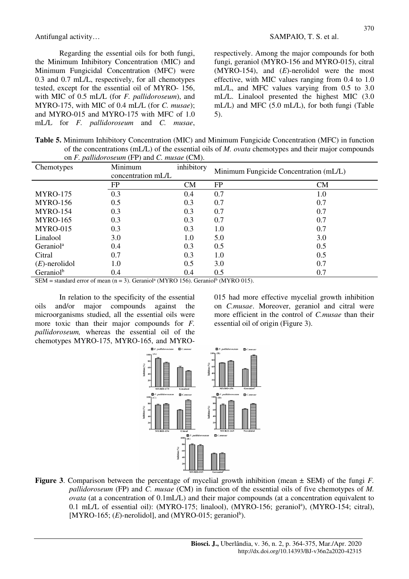Antifungal activity… SAMPAIO, T. S. et al.

Regarding the essential oils for both fungi, the Minimum Inhibitory Concentration (MIC) and Minimum Fungicidal Concentration (MFC) were 0.3 and 0.7 mL/L, respectively, for all chemotypes tested, except for the essential oil of MYRO- 156, with MIC of 0.5 mL/L (for *F. pallidoroseum*), and MYRO-175, with MIC of 0.4 mL/L (for *C. musae*); and MYRO-015 and MYRO-175 with MFC of 1.0 mL/L for *F. pallidoroseum* and *C. musae*,

respectively. Among the major compounds for both fungi, geraniol (MYRO-156 and MYRO-015), citral (MYRO-154), and (*E*)-nerolidol were the most effective, with MIC values ranging from 0.4 to 1.0 mL/L, and MFC values varying from 0.5 to 3.0 mL/L. Linalool presented the highest MIC (3.0 mL/L) and MFC (5.0 mL/L), for both fungi (Table 5).

**Table 5.** Minimum Inhibitory Concentration (MIC) and Minimum Fungicide Concentration (MFC) in function of the concentrations (mL/L) of the essential oils of *M. ovata* chemotypes and their major compounds on *F. pallidoroseum* (FP) and *C. musae* (CM).

| Chemotypes            | Minimum<br>concentration mL/L | inhibitory | Minimum Fungicide Concentration (mL/L) |         |
|-----------------------|-------------------------------|------------|----------------------------------------|---------|
|                       | FP                            | <b>CM</b>  | FP                                     | CM      |
| <b>MYRO-175</b>       | 0.3                           | 0.4        | 0.7                                    | $1.0\,$ |
| <b>MYRO-156</b>       | 0.5                           | 0.3        | 0.7                                    | 0.7     |
| <b>MYRO-154</b>       | 0.3                           | 0.3        | 0.7                                    | 0.7     |
| <b>MYRO-165</b>       | 0.3                           | 0.3        | 0.7                                    | 0.7     |
| MYRO-015              | 0.3                           | 0.3        | 1.0                                    | 0.7     |
| Linalool              | 3.0                           | 1.0        | 5.0                                    | 3.0     |
| Geraniol <sup>a</sup> | 0.4                           | 0.3        | 0.5                                    | 0.5     |
| Citral                | 0.7                           | 0.3        | 1.0                                    | 0.5     |
| $(E)$ -nerolidol      | 1.0                           | 0.5        | 3.0                                    | 0.7     |
| Geraniol <sup>b</sup> | 0.4                           | 0.4        | 0.5                                    | 0.7     |

SEM = standard error of mean  $(n = 3)$ . Geraniol<sup>a</sup> (MYRO 156). Geraniol<sup>b</sup> (MYRO 015).

In relation to the specificity of the essential oils and/or major compounds against the microorganisms studied, all the essential oils were more toxic than their major compounds for *F. pallidoroseum,* whereas the essential oil of the chemotypes MYRO-175, MYRO-165, and MYRO-

015 had more effective mycelial growth inhibition on *C.musae*. Moreover, geraniol and citral were more efficient in the control of *C.musae* than their essential oil of origin (Figure 3).



**Figure 3**. Comparison between the percentage of mycelial growth inhibition (mean ± SEM) of the fungi *F. pallidoroseum* (FP) and *C. musae* (CM) in function of the essential oils of five chemotypes of *M. ovata* (at a concentration of 0.1mL/L) and their major compounds (at a concentration equivalent to 0.1 mL/L of essential oil): (MYRO-175; linalool), (MYRO-156; geraniol<sup>a</sup>), (MYRO-154; citral), [MYRO-165;  $(E)$ -nerolidol], and (MYRO-015; geraniol<sup>b</sup>).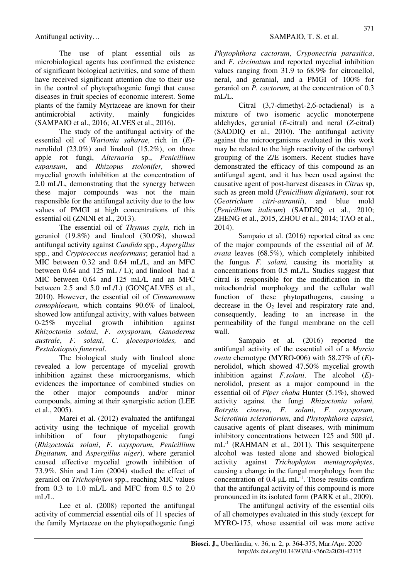The use of plant essential oils as microbiological agents has confirmed the existence of significant biological activities, and some of them have received significant attention due to their use in the control of phytopathogenic fungi that cause diseases in fruit species of economic interest. Some plants of the family Myrtaceae are known for their antimicrobial activity, mainly fungicides (SAMPAIO et al., 2016; ALVES et al., 2016).

The study of the antifungal activity of the essential oil of *Warionia saharae,* rich in (*E*) nerolidol (23.0%) and linalool (15.2%), on three apple rot fungi, *Alternaria* sp., *Penicillium expansum*, and *Rhizopus stolonifer,* showed mycelial growth inhibition at the concentration of 2.0 mL/L, demonstrating that the synergy between these major compounds was not the main responsible for the antifungal activity due to the low values of PMGI at high concentrations of this essential oil (ZNINI et al., 2013).

The essential oil of *Thymus zygis,* rich in geraniol (19.8%) and linalool (30.0%), showed antifungal activity against *Candida* spp., *Aspergillus*  spp*.*, and *Cryptococcus neoformans*; geraniol had a MIC between 0.32 and 0.64 mL/L, and an MFC between 0.64 and 125 mL / L); and linalool had a MIC between 0.64 and 125 mL/L and an MFC between 2.5 and 5.0 mL/L) (GONÇALVES et al., 2010). However, the essential oil of *Cinnamomum osmophloeum*, which contains 90.6% of linalool, showed low antifungal activity, with values between 0-25% mycelial growth inhibition against *Rhizoctonia solani*, *F. oxysporum, Ganoderma australe*, *F. solani*, *C. gloeosporioides,* and *Pestalotiopsis funereal*.

The biological study with linalool alone revealed a low percentage of mycelial growth inhibition against these microorganisms, which evidences the importance of combined studies on the other major compounds and/or minor compounds, aiming at their synergistic action (LEE et al., 2005).

Marei et al. (2012) evaluated the antifungal activity using the technique of mycelial growth inhibition of four phytopathogenic fungi (*Rhizoctonia solani*, *F. oxysporum*, *Penicillium Digitatum,* and *Aspergillus niger*), where geraniol caused effective mycelial growth inhibition of 73.9%. Shin and Lim (2004) studied the effect of geraniol on *Trichophyton* spp., reaching MIC values from 0.3 to 1.0 mL/L and MFC from 0.5 to 2.0 mL $\overline{I}$ .

Lee et al. (2008) reported the antifungal activity of commercial essential oils of 11 species of the family Myrtaceae on the phytopathogenic fungi *Phytophthora cactorum*, *Cryponectria parasitica*, and *F. circinatum* and reported mycelial inhibition values ranging from 31.9 to 68.9% for citronellol, neral, and geranial, and a PMGI of 100% for geraniol on *P. cactorum,* at the concentration of 0.3 mL $\overline{J}$ 

Citral (3,7-dimethyl-2,6-octadienal) is a mixture of two isomeric acyclic monoterpene aldehydes, geranial (*E*-citral) and neral (*Z*-citral) (SADDIQ et al., 2010). The antifungal activity against the microorganisms evaluated in this work may be related to the high reactivity of the carbonyl grouping of the Z/E isomers. Recent studies have demonstrated the efficacy of this compound as an antifungal agent, and it has been used against the causative agent of post-harvest diseases in *Citrus* sp, such as green mold (*Penicillium digitatum*), sour rot (*Geotrichum citri-aurantii*), and blue mold (*Penicillium italicum*) (SADDIQ et al., 2010; ZHENG et al., 2015, ZHOU et al., 2014; TAO et al., 2014).

Sampaio et al. (2016) reported citral as one of the major compounds of the essential oil of *M. ovata* leaves (68.5%), which completely inhibited the fungus *F. solani,* causing its mortality at concentrations from 0.5 mL/L. Studies suggest that citral is responsible for the modification in the mitochondrial morphology and the cellular wall function of these phytopathogens, causing a decrease in the  $O<sub>2</sub>$  level and respiratory rate and, consequently, leading to an increase in the permeability of the fungal membrane on the cell wall.

Sampaio et al. (2016) reported the antifungal activity of the essential oil of a *Myrcia ovata* chemotype (MYRO-006) with 58.27% of (*E*) nerolidol, which showed 47.50% mycelial growth inhibition against *F.solani*. The alcohol (*E*) nerolidol, present as a major compound in the essential oil of *Piper chaba* Hunter (5.1%), showed activity against the fungi *Rhizoctonia solani, Botrytis cinerea*, *F. solani*, *F. oxysporum*, *Sclerotinia sclerotiorum*, and *Phytophthora capsici,* causative agents of plant diseases, with minimum inhibitory concentrations between 125 and 500 μL mL-1 (RAHMAN et al., 2011). This sesquiterpene alcohol was tested alone and showed biological activity against *Trichophyton mentagrophytes*, causing a change in the fungal morphology from the concentration of  $0.4 \mu L \text{ mL}^{-1}$ . Those results confirm that the antifungal activity of this compound is more pronounced in its isolated form (PARK et al., 2009).

The antifungal activity of the essential oils of all chemotypes evaluated in this study (except for MYRO-175, whose essential oil was more active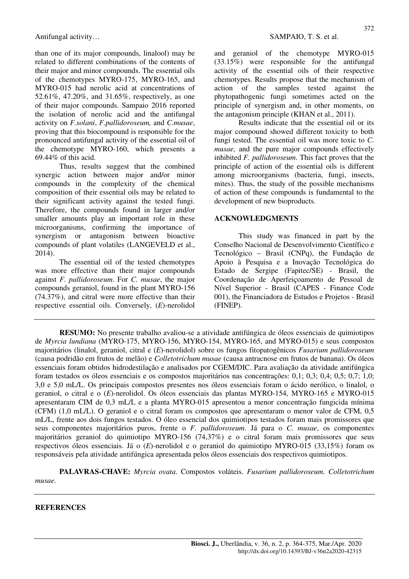than one of its major compounds, linalool) may be related to different combinations of the contents of their major and minor compounds. The essential oils of the chemotypes MYRO-175, MYRO-165, and MYRO-015 had nerolic acid at concentrations of 52.61%, 47.20%, and 31.65%, respectively, as one of their major compounds. Sampaio 2016 reported the isolation of nerolic acid and the antifungal activity on *F.solani*, *F.pallidoroseum,* and *C.musae*, proving that this biocompound is responsible for the pronounced antifungal activity of the essential oil of the chemotype MYRO-160, which presents a 69.44% of this acid.

Thus, results suggest that the combined synergic action between major and/or minor compounds in the complexity of the chemical composition of their essential oils may be related to their significant activity against the tested fungi. Therefore, the compounds found in larger and/or smaller amounts play an important role in these microorganisms, confirming the importance of synergism or antagonism between bioactive compounds of plant volatiles (LANGEVELD et al., 2014).

The essential oil of the tested chemotypes was more effective than their major compounds against *F. pallidoroseum*. For *C. musae*, the major compounds geraniol, found in the plant MYRO-156 (74.37%), and citral were more effective than their respective essential oils. Conversely, (*E*)-nerolidol and geraniol of the chemotype MYRO-015 (33.15%) were responsible for the antifungal activity of the essential oils of their respective chemotypes. Results propose that the mechanism of action of the samples tested against the phytopathogenic fungi sometimes acted on the principle of synergism and, in other moments, on the antagonism principle (KHAN et al., 2011).

Results indicate that the essential oil or its major compound showed different toxicity to both fungi tested. The essential oil was more toxic to *C. musae,* and the pure major compounds effectively inhibited *F. pallidoroseum*. This fact proves that the principle of action of the essential oils is different among microorganisms (bacteria, fungi, insects, mites). Thus, the study of the possible mechanisms of action of these compounds is fundamental to the development of new bioproducts.

## **ACKNOWLEDGMENTS**

This study was financed in part by the Conselho Nacional de Desenvolvimento Científico e Tecnológico – Brasil (CNPq), the Fundação de Apoio à Pesquisa e a Inovação Tecnológica do Estado de Sergipe (Fapitec/SE) - Brasil, the Coordenação de Aperfeiçoamento de Pessoal de Nível Superior - Brasil (CAPES - Finance Code 001), the Financiadora de Estudos e Projetos - Brasil (FINEP).

**RESUMO:** No presente trabalho avaliou-se a atividade antifúngica de óleos essenciais de quimiotipos de *Myrcia lundiana* (MYRO-175, MYRO-156, MYRO-154, MYRO-165, and MYRO-015) e seus compostos majoritários (linalol, geraniol, citral e (*E*)-nerolidol) sobre os fungos fitopatogênicos *Fusarium pallidoroseum* (causa podridão em frutos de melão) e *Colletotrichum musae* (causa antracnose em frutos de banana). Os óleos essenciais foram obtidos hidrodestilação e analisados por CGEM/DIC. Para avaliação da atividade antifúngica foram testados os óleos essenciais e os compostos majoritários nas concentrações: 0,1; 0,3; 0,4; 0,5; 0,7; 1,0; 3,0 e 5,0 mL/L. Os principais compostos presentes nos óleos essenciais foram o ácido nerólico, o linalol, o geraniol, o citral e o (*E*)-nerolidol. Os óleos essenciais das plantas MYRO-154, MYRO-165 e MYRO-015 apresentaram CIM de 0,3 mL/L e a planta MYRO-015 apresentou a menor concentração fungicida mínima (CFM) (1,0 mL/L). O geraniol e o citral foram os compostos que apresentaram o menor valor de CFM, 0,5 mL/L, frente aos dois fungos testados. O óleo essencial dos quimiotipos testados foram mais promissores que seus componentes majoritários puros, frente o *F. pallidoroseum*. Já para o *C. musae*, os componentes majoritários geraniol do quimiotipo MYRO-156 (74,37%) e o citral foram mais promissores que seus respectivos óleos essenciais. Já o (*E*)-nerolidol e o geraniol do quimiotipo MYRO-015 (33,15%) foram os responsáveis pela atividade antifúngica apresentada pelos óleos essenciais dos respectivos quimiotipos.

**PALAVRAS-CHAVE:** *Myrcia ovata*. Compostos voláteis. *Fusarium pallidoroseum. Colletotrichum musae.* 

#### **REFERENCES**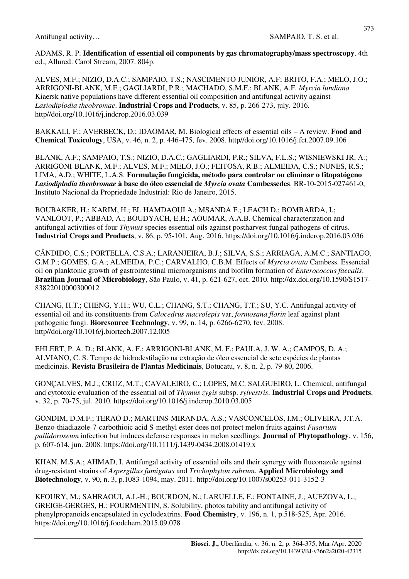ADAMS, R. P. **Identification of essential oil components by gas chromatography/mass spectroscopy**. 4th ed., Allured: Carol Stream, 2007. 804p.

ALVES, M.F.; NIZIO, D.A.C.; SAMPAIO, T.S.; NASCIMENTO JUNIOR, A.F; BRITO, F.A.; MELO, J.O.; ARRIGONI-BLANK, M.F.; GAGLIARDI, P.R.; MACHADO, S.M.F.; BLANK, A.F. *Myrcia lundiana* Kiaersk native populations have different essential oil composition and antifungal activity against *Lasiodiplodia theobromae*. **Industrial Crops and Products**, v. 85, p. 266-273, july. 2016. http//doi.org/10.1016/j.indcrop.2016.03.039

BAKKALI, F.; AVERBECK, D.; IDAOMAR, M. Biological effects of essential oils – A review. **Food and Chemical Toxicology**, USA, v. 46, n. 2, p. 446-475, fev. 2008. http//doi.org/10.1016/j.fct.2007.09.106

BLANK, A.F.; SAMPAIO, T.S.; NIZIO, D.A.C.; GAGLIARDI, P.R.; SILVA, F.L.S.; WISNIEWSKI JR, A.; ARRIGONI-BLANK, M.F.; ALVES, M.F.; MELO, J.O.; FEITOSA, R.B.; ALMEIDA, C.S.; NUNES, R.S.; LIMA, A.D.; WHITE, L.A.S. **Formulação fungicida, método para controlar ou eliminar o fitopatógeno**  *Lasiodiplodia theobromae* **à base do óleo essencial de** *Myrcia ovata* **Cambessedes**. BR-10-2015-027461-0, Instituto Nacional da Propriedade Industrial: Rio de Janeiro, 2015.

BOUBAKER, H.; KARIM, H.; EL HAMDAOUI A.; MSANDA F.; LEACH D.; BOMBARDA, I.; VANLOOT, P.; ABBAD, A.; BOUDYACH, E.H.; AOUMAR, A.A.B. Chemical characterization and antifungal activities of four *Thymus* species essential oils against postharvest fungal pathogens of citrus. **Industrial Crops and Products**, v. 86, p. 95-101, Aug. 2016. https://doi.org/10.1016/j.indcrop.2016.03.036

CÂNDIDO, C.S.; PORTELLA, C.S.A.; LARANJEIRA, B.J.; SILVA, S.S.; ARRIAGA, A.M.C.; SANTIAGO, G.M.P.; GOMES, G.A.; ALMEIDA, P.C.; CARVALHO, C.B.M. Effects of *Myrcia ovata* Cambess. Essencial oil on planktonic growth of gastrointestinal microorganisms and biofilm formation of *Enterococcus faecalis*. **Brazilian Journal of Microbiology**, São Paulo, v. 41, p. 621-627, oct. 2010. http://dx.doi.org/10.1590/S1517- 83822010000300012

CHANG, H.T.; CHENG, Y.H.; WU, C.L.; CHANG, S.T.; CHANG, T.T.; SU, Y.C. Antifungal activity of essential oil and its constituents from *Calocedrus macrolepis* var, *formosana florin* leaf against plant pathogenic fungi. **Bioresource Technology**, v. 99, n. 14, p. 6266-6270, fev. 2008. http//doi.org/10.1016/j.biortech.2007.12.005

EHLERT, P. A. D.; BLANK, A. F.; ARRIGONI-BLANK, M. F.; PAULA, J. W. A.; CAMPOS, D. A.; ALVIANO, C. S. Tempo de hidrodestilação na extração de óleo essencial de sete espécies de plantas medicinais. **Revista Brasileira de Plantas Medicinais**, Botucatu, v. 8, n. 2, p. 79-80, 2006.

GONÇALVES, M.J.; CRUZ, M.T.; CAVALEIRO, C.; LOPES, M.C. SALGUEIRO, L. Chemical, antifungal and cytotoxic evaluation of the essential oil of *Thymus zygis* subsp. *sylvestris*. **Industrial Crops and Products**, v. 32, p. 70-75, jul. 2010. https://doi.org/10.1016/j.indcrop.2010.03.005

GONDIM, D.M.F.; TERAO D.; MARTINS-MIRANDA, A.S.; VASCONCELOS, I.M.; OLIVEIRA, J.T.A. Benzo-thiadiazole-7-carbothioic acid S-methyl ester does not protect melon fruits against *Fusarium pallidoroseum* infection but induces defense responses in melon seedlings. **Journal of Phytopathology**, v. 156, p. 607-614, jun. 2008. https://doi.org/10.1111/j.1439-0434.2008.01419.x

KHAN, M.S.A.; AHMAD, I. Antifungal activity of essential oils and their synergy with fluconazole against drug-resistant strains of *Aspergillus fumigatus* and *Trichophyton rubrum*. **Applied Microbiology and Biotechnology**, v. 90, n. 3, p.1083-1094, may. 2011. http://doi.org/10.1007/s00253-011-3152-3

KFOURY, M.; SAHRAOUI, A.L-H.; BOURDON, N.; LARUELLE, F.; FONTAINE, J.; AUEZOVA, L.; GREIGE-GERGES, H.; FOURMENTIN, S. Solubility, photos tability and antifungal activity of phenylpropanoids encapsulated in cyclodextrins. **Food Chemistry**, v. 196, n. 1, p.518-525, Apr. 2016. https://doi.org/10.1016/j.foodchem.2015.09.078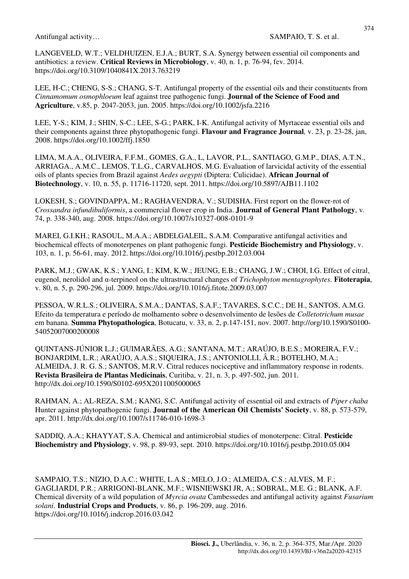LANGEVELD, W.T.; VELDHUIZEN, E.J.A.; BURT, S.A. Synergy between essential oil components and antibiotics: a review. **Critical Reviews in Microbiology**, v. 40, n. 1, p. 76-94, fev. 2014. https://doi.org/10.3109/1040841X.2013.763219

LEE, H-C.; CHENG, S-S.; CHANG, S-T. Antifungal property of the essential oils and their constituents from *Cinnamomum osmophloeum* leaf against tree pathogenic fungi. **Journal of the Science of Food and Agriculture**, v.85, p. 2047-2053, jun. 2005. https://doi.org/10.1002/jsfa.2216

LEE, Y-S.; KIM, J.; SHIN, S-C.; LEE, S-G.; PARK, I-K. Antifungal activity of Myrtaceae essential oils and their components against three phytopathogenic fungi. **Flavour and Fragrance Journal***,* v. 23, p. 23-28, jan, 2008. https://doi.org/10.1002/ffj.1850

LIMA, M.A.A., OLIVEIRA, F.F.M., GOMES, G.A., L, LAVOR, P.L., SANTIAGO, G.M.P., DIAS, A.T.N., ARRIAGA., A.M.C., LEMOS, T.L.G., CARVALHOS, M.G. Evaluation of larvicidal activity of the essential oils of plants species from Brazil against *Aedes aegypti* (Diptera: Culicidae). **African Journal of Biotechnology**, v. 10, n. 55, p. 11716-11720, sept. 2011. https://doi.org/10.5897/AJB11.1102

LOKESH, S.; GOVINDAPPA, M.; RAGHAVENDRA, V.; SUDISHA. First report on the flower-rot of *Crossandra infundibuliformis*, a commercial flower crop in India. **Journal of General Plant Pathology**, v. 74, p. 338-340, aug. 2008. https://doi.org/10.1007/s10327-008-0101-9

MAREI, G.I.KH.; RASOUL, M.A.A.; ABDELGALEIL, S.A.M. Comparative antifungal activities and biochemical effects of monoterpenes on plant pathogenic fungi. **Pesticide Biochemistry and Physiology**, v. 103, n. 1, p. 56-61, may. 2012. https://doi.org/10.1016/j.pestbp.2012.03.004

PARK, M.J.; GWAK, K.S.; YANG, I.; KIM, K.W.; JEUNG, E.B.; CHANG, J.W.; CHOI, I.G. Effect of citral, eugenol, nerolidol and α-terpineol on the ultrastructural changes of *Trichophyton mentagrophytes*. **Fitoterapia**, v. 80, n. 5, p. 290-296, jul. 2009. https://doi.org/10.1016/j.fitote.2009.03.007

PESSOA, W.R.L.S.; OLIVEIRA, S.M.A.; DANTAS, S.A.F.; TAVARES, S.C.C.; DE H., SANTOS, A.M.G. Efeito da temperatura e período de molhamento sobre o desenvolvimento de lesões de *Colletotrichum musae* em banana. **Summa Phytopathologica**, Botucatu, v. 33, n. 2, p.147-151, nov. 2007. http://org/10.1590/S0100- 54052007000200008

QUINTANS-JÚNIOR L.J.; GUIMARÃES, A.G.; SANTANA, M.T.; ARAÚJO, B.E.S.; MOREIRA, F.V.; BONJARDIM, L.R.; ARAÚJO, A.A.S.; SIQUEIRA, J.S.; ANTONIOLLI, Â.R.; BOTELHO, M.A.; ALMEIDA, J. R. G. S.; SANTOS, M.R.V. Citral reduces nociceptive and inflammatory response in rodents. **Revista Brasileira de Plantas Medicinais**, Curitiba, v. 21, n. 3, p. 497-502, jun. 2011. http://dx.doi.org/10.1590/S0102-695X2011005000065

RAHMAN, A.; AL-REZA, S.M.; KANG, S.C. Antifungal activity of essential oil and extracts of *Piper chaba* Hunter against phytopathogenic fungi. **Journal of the American Oil Chemists' Society**, v. 88, p. 573-579, apr. 2011. http://dx.doi.org/10.1007/s11746-010-1698-3

SADDIQ, A.A.; KHAYYAT, S.A. Chemical and antimicrobial studies of monoterpene: Citral. **Pesticide Biochemistry and Physiology**, v. 98, p. 89-93, sept. 2010. https://doi.org/10.1016/j.pestbp.2010.05.004

SAMPAIO, T.S.; NIZIO, D.A.C.; WHITE, L.A.S.; MELO, J.O.; ALMEIDA, C.S.; ALVES, M. F.; GAGLIARDI, P.R.; ARRIGONI-BLANK, M.F.; WISNIEWSKI JR, A.; SOBRAL, M.E. G.; BLANK, A.F. Chemical diversity of a wild population of *Myrcia ovata* Cambessedes and antifungal activity against *Fusarium solani*. **Industrial Crops and Products**, v. 86, p. 196-209, aug. 2016. https://doi.org/10.1016/j.indcrop.2016.03.042